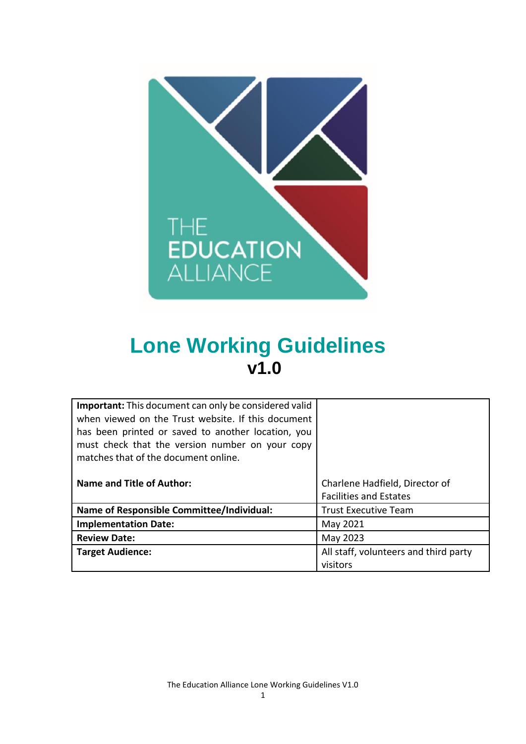

# **Lone Working Guidelines v1.0**

| <b>Important:</b> This document can only be considered valid<br>when viewed on the Trust website. If this document<br>has been printed or saved to another location, you<br>must check that the version number on your copy<br>matches that of the document online. |                                                                 |
|---------------------------------------------------------------------------------------------------------------------------------------------------------------------------------------------------------------------------------------------------------------------|-----------------------------------------------------------------|
| <b>Name and Title of Author:</b>                                                                                                                                                                                                                                    | Charlene Hadfield, Director of<br><b>Facilities and Estates</b> |
|                                                                                                                                                                                                                                                                     |                                                                 |
| <b>Name of Responsible Committee/Individual:</b>                                                                                                                                                                                                                    | <b>Trust Executive Team</b>                                     |
| <b>Implementation Date:</b>                                                                                                                                                                                                                                         | May 2021                                                        |
| <b>Review Date:</b>                                                                                                                                                                                                                                                 | May 2023                                                        |
| <b>Target Audience:</b>                                                                                                                                                                                                                                             | All staff, volunteers and third party<br>visitors               |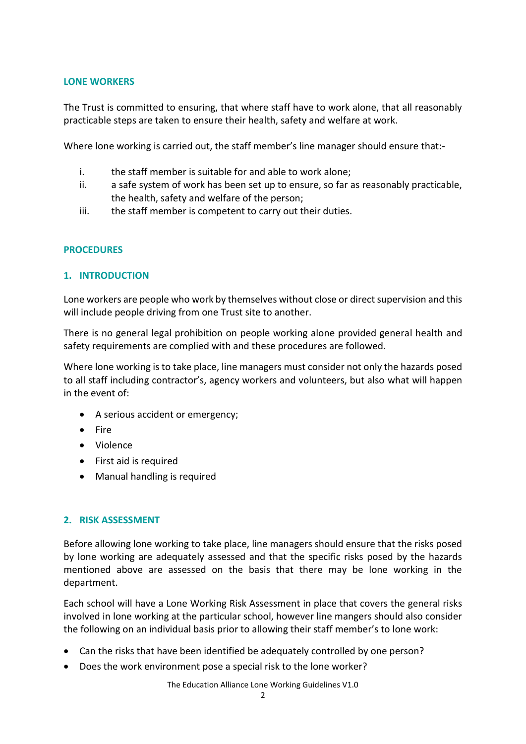## **LONE WORKERS**

The Trust is committed to ensuring, that where staff have to work alone, that all reasonably practicable steps are taken to ensure their health, safety and welfare at work.

Where lone working is carried out, the staff member's line manager should ensure that:-

- i. the staff member is suitable for and able to work alone;
- ii. a safe system of work has been set up to ensure, so far as reasonably practicable, the health, safety and welfare of the person;
- iii. the staff member is competent to carry out their duties.

# **PROCEDURES**

# **1. INTRODUCTION**

Lone workers are people who work by themselves without close or direct supervision and this will include people driving from one Trust site to another.

There is no general legal prohibition on people working alone provided general health and safety requirements are complied with and these procedures are followed.

Where lone working is to take place, line managers must consider not only the hazards posed to all staff including contractor's, agency workers and volunteers, but also what will happen in the event of:

- A serious accident or emergency;
- $\bullet$  Fire
- Violence
- First aid is required
- Manual handling is required

# **2. RISK ASSESSMENT**

Before allowing lone working to take place, line managers should ensure that the risks posed by lone working are adequately assessed and that the specific risks posed by the hazards mentioned above are assessed on the basis that there may be lone working in the department.

Each school will have a Lone Working Risk Assessment in place that covers the general risks involved in lone working at the particular school, however line mangers should also consider the following on an individual basis prior to allowing their staff member's to lone work:

- Can the risks that have been identified be adequately controlled by one person?
- Does the work environment pose a special risk to the lone worker?

The Education Alliance Lone Working Guidelines V1.0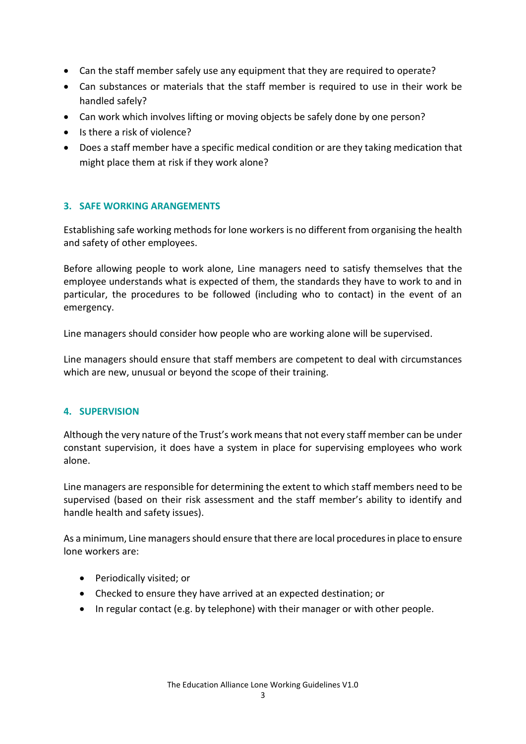- Can the staff member safely use any equipment that they are required to operate?
- Can substances or materials that the staff member is required to use in their work be handled safely?
- Can work which involves lifting or moving objects be safely done by one person?
- Is there a risk of violence?
- Does a staff member have a specific medical condition or are they taking medication that might place them at risk if they work alone?

# **3. SAFE WORKING ARANGEMENTS**

Establishing safe working methods for lone workers is no different from organising the health and safety of other employees.

Before allowing people to work alone, Line managers need to satisfy themselves that the employee understands what is expected of them, the standards they have to work to and in particular, the procedures to be followed (including who to contact) in the event of an emergency.

Line managers should consider how people who are working alone will be supervised.

Line managers should ensure that staff members are competent to deal with circumstances which are new, unusual or beyond the scope of their training.

# **4. SUPERVISION**

Although the very nature of the Trust's work means that not every staff member can be under constant supervision, it does have a system in place for supervising employees who work alone.

Line managers are responsible for determining the extent to which staff members need to be supervised (based on their risk assessment and the staff member's ability to identify and handle health and safety issues).

As a minimum, Line managers should ensure that there are local procedures in place to ensure lone workers are:

- Periodically visited; or
- Checked to ensure they have arrived at an expected destination; or
- In regular contact (e.g. by telephone) with their manager or with other people.